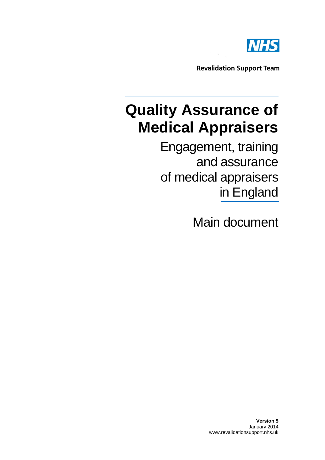

**Revalidation Support Team** 

# **Quality Assurance of Medical Appraisers**

Engagement, training and assurance of medical appraisers in England

Main document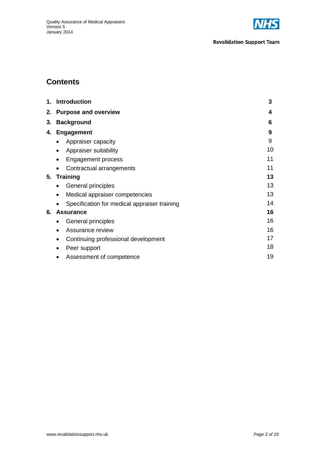

# **Contents**

|    | 1. Introduction                                  | 3  |
|----|--------------------------------------------------|----|
|    | 2. Purpose and overview                          |    |
| 3. | <b>Background</b>                                | 6  |
| 4. | <b>Engagement</b>                                | 9  |
|    | Appraiser capacity<br>$\bullet$                  | 9  |
|    | Appraiser suitability<br>٠                       | 10 |
|    | <b>Engagement process</b><br>$\bullet$           | 11 |
|    | Contractual arrangements                         | 11 |
| 5. | <b>Training</b>                                  | 13 |
|    | General principles<br>$\bullet$                  | 13 |
|    | Medical appraiser competencies                   | 13 |
|    | Specification for medical appraiser training     | 14 |
| 6. | <b>Assurance</b>                                 | 16 |
|    | General principles<br>$\bullet$                  | 16 |
|    | Assurance review<br>٠                            | 16 |
|    | Continuing professional development<br>$\bullet$ | 17 |
|    | Peer support                                     | 18 |
|    | Assessment of competence                         | 19 |
|    |                                                  |    |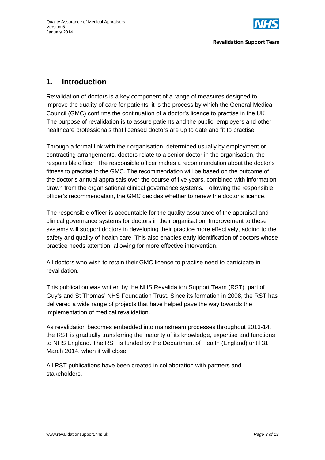

# **1. Introduction**

Revalidation of doctors is a key component of a range of measures designed to improve the quality of care for patients; it is the process by which the General Medical Council (GMC) confirms the continuation of a doctor's licence to practise in the UK. The purpose of revalidation is to assure patients and the public, employers and other healthcare professionals that licensed doctors are up to date and fit to practise.

Through a formal link with their organisation, determined usually by employment or contracting arrangements, doctors relate to a senior doctor in the organisation, the responsible officer. The responsible officer makes a recommendation about the doctor's fitness to practise to the GMC. The recommendation will be based on the outcome of the doctor's annual appraisals over the course of five years, combined with information drawn from the organisational clinical governance systems. Following the responsible officer's recommendation, the GMC decides whether to renew the doctor's licence.

The responsible officer is accountable for the quality assurance of the appraisal and clinical governance systems for doctors in their organisation. Improvement to these systems will support doctors in developing their practice more effectively, adding to the safety and quality of health care. This also enables early identification of doctors whose practice needs attention, allowing for more effective intervention.

All doctors who wish to retain their GMC licence to practise need to participate in revalidation.

This publication was written by the NHS Revalidation Support Team (RST), part of Guy's and St Thomas' NHS Foundation Trust. Since its formation in 2008, the RST has delivered a wide range of projects that have helped pave the way towards the implementation of medical revalidation.

As revalidation becomes embedded into mainstream processes throughout 2013-14, the RST is gradually transferring the majority of its knowledge, expertise and functions to NHS England. The RST is funded by the Department of Health (England) until 31 March 2014, when it will close.

All RST publications have been created in collaboration with partners and stakeholders.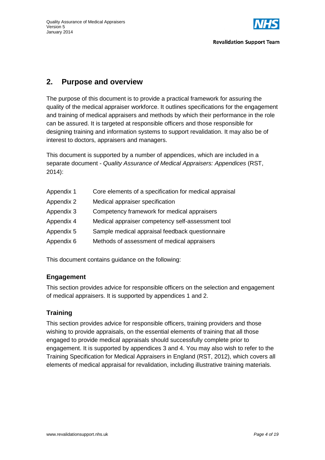

# **2. Purpose and overview**

The purpose of this document is to provide a practical framework for assuring the quality of the medical appraiser workforce. It outlines specifications for the engagement and training of medical appraisers and methods by which their performance in the role can be assured. It is targeted at responsible officers and those responsible for designing training and information systems to support revalidation. It may also be of interest to doctors, appraisers and managers.

This document is supported by a number of appendices, which are included in a separate document - *Quality Assurance of Medical Appraisers: Appendices* (RST, 2014):

| Appendix 1 | Core elements of a specification for medical appraisal |
|------------|--------------------------------------------------------|
| Appendix 2 | Medical appraiser specification                        |
| Appendix 3 | Competency framework for medical appraisers            |
| Appendix 4 | Medical appraiser competency self-assessment tool      |
| Appendix 5 | Sample medical appraisal feedback questionnaire        |
| Appendix 6 | Methods of assessment of medical appraisers            |
|            |                                                        |

This document contains guidance on the following:

#### **Engagement**

This section provides advice for responsible officers on the selection and engagement of medical appraisers. It is supported by appendices 1 and 2.

## **Training**

This section provides advice for responsible officers, training providers and those wishing to provide appraisals, on the essential elements of training that all those engaged to provide medical appraisals should successfully complete prior to engagement. It is supported by appendices 3 and 4. You may also wish to refer to the Training Specification for Medical Appraisers in England (RST, 2012), which covers all elements of medical appraisal for revalidation, including illustrative training materials.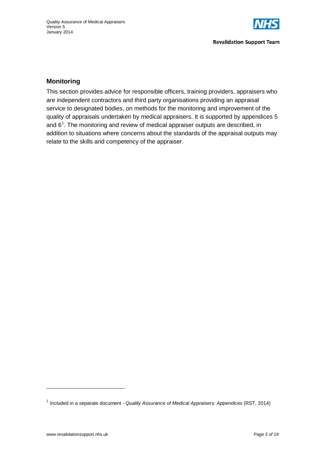

## **Monitoring**

This section provides advice for responsible officers, training providers, appraisers who are independent contractors and third party organisations providing an appraisal service to designated bodies, on methods for the monitoring and improvement of the quality of appraisals undertaken by medical appraisers. It is supported by appendices 5 and  $6<sup>1</sup>$  $6<sup>1</sup>$  $6<sup>1</sup>$ . The monitoring and review of medical appraiser outputs are described, in addition to situations where concerns about the standards of the appraisal outputs may relate to the skills and competency of the appraiser.

<span id="page-4-0"></span><sup>1</sup> [Included in a separate document](http://www.revalidationsupport.nhs.uk/CubeCore/.uploads/documents/pdf/rst_quality_assurance_medical_appraisers_appendices_2013.pdf) - *Quality Assurance of Medical Appraisers: Appendices* (RST, 2014)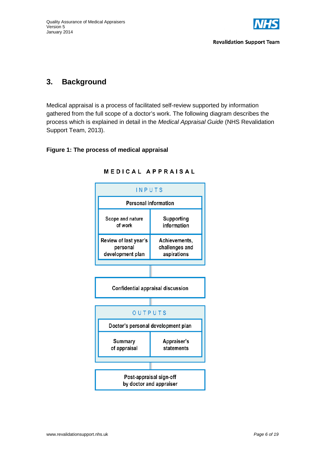

# **3. Background**

Medical appraisal is a process of facilitated self-review supported by information gathered from the full scope of a doctor's work. The following diagram describes the process which is explained in detail in the *Medical Appraisal Guide* (NHS Revalidation Support Team, 2013).

#### **Figure 1: The process of medical appraisal**



#### **MEDICAL APPRAISAL**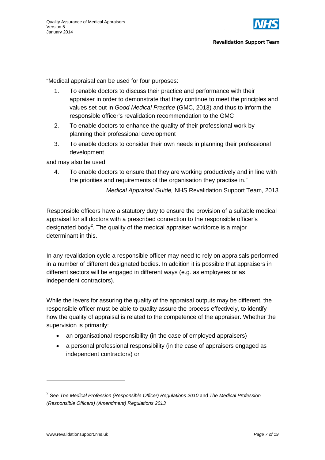

"Medical appraisal can be used for four purposes:

- 1. To enable doctors to discuss their practice and performance with their appraiser in order to demonstrate that they continue to meet the principles and values set out in *Good Medical Practice* (GMC, 2013) and thus to inform the responsible officer's revalidation recommendation to the GMC
- 2. To enable doctors to enhance the quality of their professional work by planning their professional development
- 3. To enable doctors to consider their own needs in planning their professional development

and may also be used:

4. To enable doctors to ensure that they are working productively and in line with the priorities and requirements of the organisation they practise in."

*Medical Appraisal Guide,* NHS Revalidation Support Team, 2013

Responsible officers have a statutory duty to ensure the provision of a suitable medical appraisal for all doctors with a prescribed connection to the responsible officer's designated body<sup>[2](#page-6-0)</sup>. The quality of the medical appraiser workforce is a major determinant in this.

In any revalidation cycle a responsible officer may need to rely on appraisals performed in a number of different designated bodies. In addition it is possible that appraisers in different sectors will be engaged in different ways (e.g. as employees or as independent contractors).

While the levers for assuring the quality of the appraisal outputs may be different, the responsible officer must be able to quality assure the process effectively, to identify how the quality of appraisal is related to the competence of the appraiser. Whether the supervision is primarily:

- an organisational responsibility (in the case of employed appraisers)
- a personal professional responsibility (in the case of appraisers engaged as independent contractors) or

<u>.</u>

<span id="page-6-0"></span><sup>2</sup> See *The Medical Profession (Responsible Officer) Regulations 2010* and *The Medical Profession (Responsible Officers) (Amendment) Regulations 2013*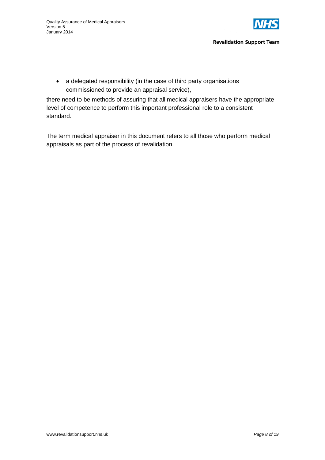

#### **Revalidation Support Team**

• a delegated responsibility (in the case of third party organisations commissioned to provide an appraisal service),

there need to be methods of assuring that all medical appraisers have the appropriate level of competence to perform this important professional role to a consistent standard.

The term medical appraiser in this document refers to all those who perform medical appraisals as part of the process of revalidation.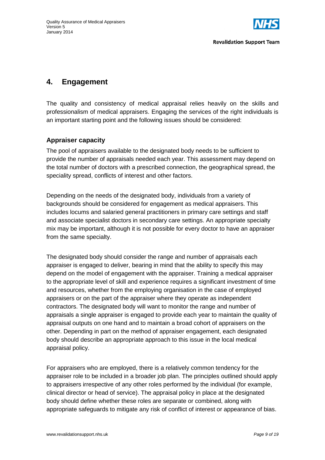

## **4. Engagement**

The quality and consistency of medical appraisal relies heavily on the skills and professionalism of medical appraisers. Engaging the services of the right individuals is an important starting point and the following issues should be considered:

## **Appraiser capacity**

The pool of appraisers available to the designated body needs to be sufficient to provide the number of appraisals needed each year. This assessment may depend on the total number of doctors with a prescribed connection, the geographical spread, the speciality spread, conflicts of interest and other factors.

Depending on the needs of the designated body, individuals from a variety of backgrounds should be considered for engagement as medical appraisers. This includes locums and salaried general practitioners in primary care settings and staff and associate specialist doctors in secondary care settings. An appropriate specialty mix may be important, although it is not possible for every doctor to have an appraiser from the same specialty.

The designated body should consider the range and number of appraisals each appraiser is engaged to deliver, bearing in mind that the ability to specify this may depend on the model of engagement with the appraiser. Training a medical appraiser to the appropriate level of skill and experience requires a significant investment of time and resources, whether from the employing organisation in the case of employed appraisers or on the part of the appraiser where they operate as independent contractors. The designated body will want to monitor the range and number of appraisals a single appraiser is engaged to provide each year to maintain the quality of appraisal outputs on one hand and to maintain a broad cohort of appraisers on the other. Depending in part on the method of appraiser engagement, each designated body should describe an appropriate approach to this issue in the local medical appraisal policy.

For appraisers who are employed, there is a relatively common tendency for the appraiser role to be included in a broader job plan. The principles outlined should apply to appraisers irrespective of any other roles performed by the individual (for example, clinical director or head of service). The appraisal policy in place at the designated body should define whether these roles are separate or combined, along with appropriate safeguards to mitigate any risk of conflict of interest or appearance of bias.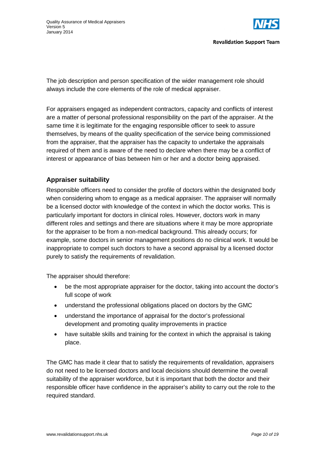

The job description and person specification of the wider management role should always include the core elements of the role of medical appraiser.

For appraisers engaged as independent contractors, capacity and conflicts of interest are a matter of personal professional responsibility on the part of the appraiser. At the same time it is legitimate for the engaging responsible officer to seek to assure themselves, by means of the quality specification of the service being commissioned from the appraiser, that the appraiser has the capacity to undertake the appraisals required of them and is aware of the need to declare when there may be a conflict of interest or appearance of bias between him or her and a doctor being appraised.

## **Appraiser suitability**

Responsible officers need to consider the profile of doctors within the designated body when considering whom to engage as a medical appraiser. The appraiser will normally be a licensed doctor with knowledge of the context in which the doctor works. This is particularly important for doctors in clinical roles. However, doctors work in many different roles and settings and there are situations where it may be more appropriate for the appraiser to be from a non-medical background. This already occurs; for example, some doctors in senior management positions do no clinical work. It would be inappropriate to compel such doctors to have a second appraisal by a licensed doctor purely to satisfy the requirements of revalidation.

The appraiser should therefore:

- be the most appropriate appraiser for the doctor, taking into account the doctor's full scope of work
- understand the professional obligations placed on doctors by the GMC
- understand the importance of appraisal for the doctor's professional development and promoting quality improvements in practice
- have suitable skills and training for the context in which the appraisal is taking place.

The GMC has made it clear that to satisfy the requirements of revalidation, appraisers do not need to be licensed doctors and local decisions should determine the overall suitability of the appraiser workforce, but it is important that both the doctor and their responsible officer have confidence in the appraiser's ability to carry out the role to the required standard.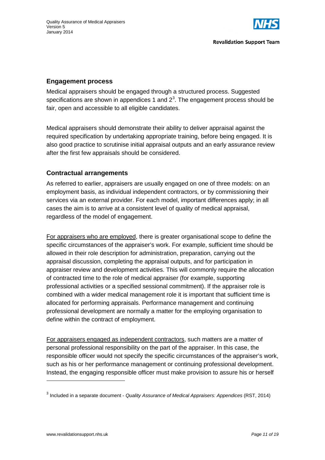

#### **Engagement process**

Medical appraisers should be engaged through a structured process. Suggested specifications are shown in appendices 1 and  $2<sup>3</sup>$  $2<sup>3</sup>$  $2<sup>3</sup>$ . The engagement process should be fair, open and accessible to all eligible candidates.

Medical appraisers should demonstrate their ability to deliver appraisal against the required specification by undertaking appropriate training, before being engaged. It is also good practice to scrutinise initial appraisal outputs and an early assurance review after the first few appraisals should be considered.

#### **Contractual arrangements**

As referred to earlier, appraisers are usually engaged on one of three models: on an employment basis, as individual independent contractors, or by commissioning their services via an external provider. For each model, important differences apply; in all cases the aim is to arrive at a consistent level of quality of medical appraisal, regardless of the model of engagement.

For appraisers who are employed, there is greater organisational scope to define the specific circumstances of the appraiser's work. For example, sufficient time should be allowed in their role description for administration, preparation, carrying out the appraisal discussion, completing the appraisal outputs, and for participation in appraiser review and development activities. This will commonly require the allocation of contracted time to the role of medical appraiser (for example, supporting professional activities or a specified sessional commitment). If the appraiser role is combined with a wider medical management role it is important that sufficient time is allocated for performing appraisals. Performance management and continuing professional development are normally a matter for the employing organisation to define within the contract of employment.

For appraisers engaged as independent contractors, such matters are a matter of personal professional responsibility on the part of the appraiser. In this case, the responsible officer would not specify the specific circumstances of the appraiser's work, such as his or her performance management or continuing professional development. Instead, the engaging responsible officer must make provision to assure his or herself

<u>.</u>

<span id="page-10-0"></span><sup>3</sup> [Included in a separate document](http://www.revalidationsupport.nhs.uk/CubeCore/.uploads/documents/pdf/rst_quality_assurance_medical_appraisers_appendices_2013.pdf) - *Quality Assurance of Medical Appraisers: Appendices* (RST, 2014)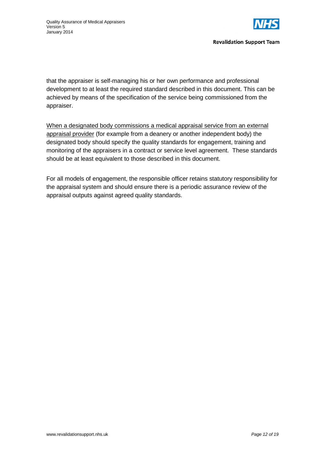

that the appraiser is self-managing his or her own performance and professional development to at least the required standard described in this document. This can be achieved by means of the specification of the service being commissioned from the appraiser.

When a designated body commissions a medical appraisal service from an external appraisal provider (for example from a deanery or another independent body) the designated body should specify the quality standards for engagement, training and monitoring of the appraisers in a contract or service level agreement. These standards should be at least equivalent to those described in this document.

For all models of engagement, the responsible officer retains statutory responsibility for the appraisal system and should ensure there is a periodic assurance review of the appraisal outputs against agreed quality standards.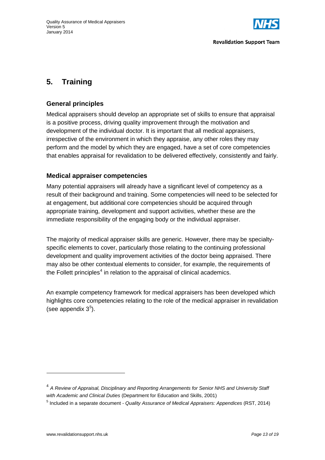

# **5. Training**

### **General principles**

Medical appraisers should develop an appropriate set of skills to ensure that appraisal is a positive process, driving quality improvement through the motivation and development of the individual doctor. It is important that all medical appraisers, irrespective of the environment in which they appraise, any other roles they may perform and the model by which they are engaged, have a set of core competencies that enables appraisal for revalidation to be delivered effectively, consistently and fairly.

#### **Medical appraiser competencies**

Many potential appraisers will already have a significant level of competency as a result of their background and training. Some competencies will need to be selected for at engagement, but additional core competencies should be acquired through appropriate training, development and support activities, whether these are the immediate responsibility of the engaging body or the individual appraiser.

The majority of medical appraiser skills are generic. However, there may be specialtyspecific elements to cover, particularly those relating to the continuing professional development and quality improvement activities of the doctor being appraised. There may also be other contextual elements to consider, for example, the requirements of the Follett principles<sup>[4](#page-12-0)</sup> in relation to the appraisal of clinical academics.

An example competency framework for medical appraisers has been developed which highlights core competencies relating to the role of the medical appraiser in revalidation (see appendix  $3<sup>5</sup>$  $3<sup>5</sup>$  $3<sup>5</sup>$ ).

<span id="page-12-0"></span><sup>4</sup> *A Review of Appraisal, Disciplinary and Reporting Arrangements for Senior NHS and University Staff with Academic and Clinical Duties* (Department for Education and Skills, 2001)

<span id="page-12-1"></span><sup>5</sup> [Included in a separate document](http://www.revalidationsupport.nhs.uk/CubeCore/.uploads/documents/pdf/rst_quality_assurance_medical_appraisers_appendices_2013.pdf) - *Quality Assurance of Medical Appraisers: Appendices* (RST, 2014)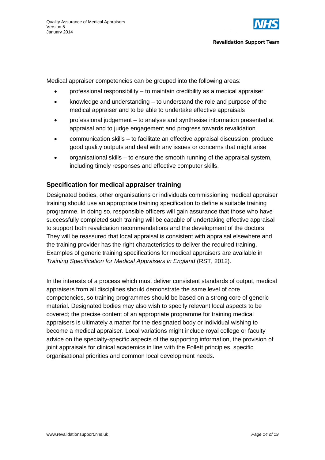

Medical appraiser competencies can be grouped into the following areas:

- professional responsibility to maintain credibility as a medical appraiser
- knowledge and understanding to understand the role and purpose of the medical appraiser and to be able to undertake effective appraisals
- professional judgement to analyse and synthesise information presented at appraisal and to judge engagement and progress towards revalidation
- communication skills to facilitate an effective appraisal discussion, produce good quality outputs and deal with any issues or concerns that might arise
- organisational skills to ensure the smooth running of the appraisal system, including timely responses and effective computer skills.

## **Specification for medical appraiser training**

Designated bodies, other organisations or individuals commissioning medical appraiser training should use an appropriate training specification to define a suitable training programme. In doing so, responsible officers will gain assurance that those who have successfully completed such training will be capable of undertaking effective appraisal to support both revalidation recommendations and the development of the doctors. They will be reassured that local appraisal is consistent with appraisal elsewhere and the training provider has the right characteristics to deliver the required training. Examples of generic training specifications for medical appraisers are available in *Training Specification for Medical Appraisers in England* (RST, 2012).

In the interests of a process which must deliver consistent standards of output, medical appraisers from all disciplines should demonstrate the same level of core competencies, so training programmes should be based on a strong core of generic material. Designated bodies may also wish to specify relevant local aspects to be covered; the precise content of an appropriate programme for training medical appraisers is ultimately a matter for the designated body or individual wishing to become a medical appraiser. Local variations might include royal college or faculty advice on the specialty-specific aspects of the supporting information, the provision of joint appraisals for clinical academics in line with the Follett principles, specific organisational priorities and common local development needs.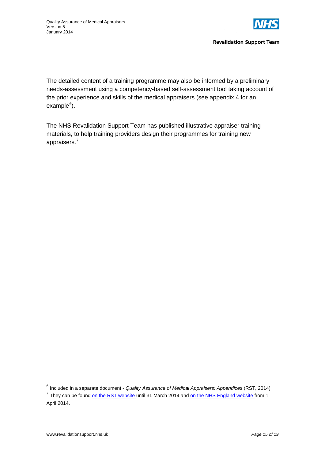

**Revalidation Support Team** 

The detailed content of a training programme may also be informed by a preliminary needs-assessment using a competency-based self-assessment tool taking account of the prior experience and skills of the medical appraisers (see appendix 4 for an example<sup>[6](#page-14-0)</sup>).

The NHS Revalidation Support Team has published illustrative appraiser training materials, to help training providers design their programmes for training new appraisers. [7](#page-14-1)

<span id="page-14-0"></span><sup>6</sup> [Included in a separate document](http://www.revalidationsupport.nhs.uk/CubeCore/.uploads/documents/pdf/rst_quality_assurance_medical_appraisers_appendices_2013.pdf) - *Quality Assurance of Medical Appraisers: Appendices* (RST, 2014)

<span id="page-14-1"></span><sup>&</sup>lt;sup>7</sup> They can be foun[d on the RST website](http://www.revalidationsupport.nhs.uk/Appraiser/appraiser-training/new-appraiser-training.php) until 31 March 2014 and on the [NHS England website](http://www.england.nhs.uk/ourwork/qual-clin-lead/revalidation/) from 1 April 2014.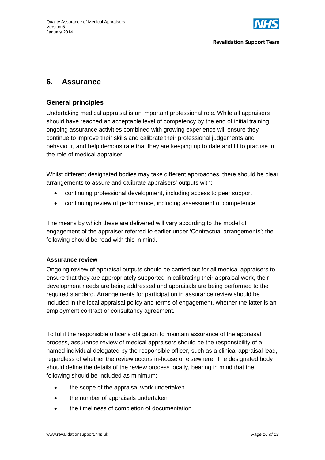

## **6. Assurance**

#### **General principles**

Undertaking medical appraisal is an important professional role. While all appraisers should have reached an acceptable level of competency by the end of initial training, ongoing assurance activities combined with growing experience will ensure they continue to improve their skills and calibrate their professional judgements and behaviour, and help demonstrate that they are keeping up to date and fit to practise in the role of medical appraiser.

Whilst different designated bodies may take different approaches, there should be clear arrangements to assure and calibrate appraisers' outputs with:

- continuing professional development, including access to peer support
- continuing review of performance, including assessment of competence.

The means by which these are delivered will vary according to the model of engagement of the appraiser referred to earlier under 'Contractual arrangements'; the following should be read with this in mind.

#### **Assurance review**

Ongoing review of appraisal outputs should be carried out for all medical appraisers to ensure that they are appropriately supported in calibrating their appraisal work, their development needs are being addressed and appraisals are being performed to the required standard. Arrangements for participation in assurance review should be included in the local appraisal policy and terms of engagement, whether the latter is an employment contract or consultancy agreement.

To fulfil the responsible officer's obligation to maintain assurance of the appraisal process, assurance review of medical appraisers should be the responsibility of a named individual delegated by the responsible officer, such as a clinical appraisal lead, regardless of whether the review occurs in-house or elsewhere. The designated body should define the details of the review process locally, bearing in mind that the following should be included as minimum:

- the scope of the appraisal work undertaken
- the number of appraisals undertaken
- the timeliness of completion of documentation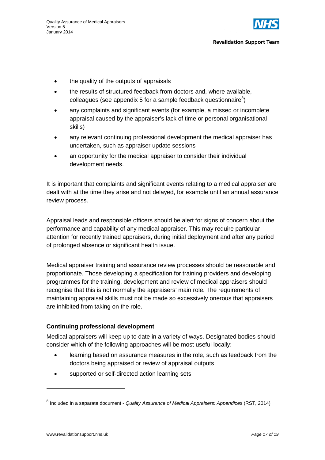

- the quality of the outputs of appraisals
- the results of structured feedback from doctors and, where available, colleagues (see appendix 5 for a sample feedback questionnaire $^8$  $^8$ )
- any complaints and significant events (for example, a missed or incomplete appraisal caused by the appraiser's lack of time or personal organisational skills)
- any relevant continuing professional development the medical appraiser has undertaken, such as appraiser update sessions
- an opportunity for the medical appraiser to consider their individual development needs.

It is important that complaints and significant events relating to a medical appraiser are dealt with at the time they arise and not delayed, for example until an annual assurance review process.

Appraisal leads and responsible officers should be alert for signs of concern about the performance and capability of any medical appraiser. This may require particular attention for recently trained appraisers, during initial deployment and after any period of prolonged absence or significant health issue.

Medical appraiser training and assurance review processes should be reasonable and proportionate. Those developing a specification for training providers and developing programmes for the training, development and review of medical appraisers should recognise that this is not normally the appraisers' main role. The requirements of maintaining appraisal skills must not be made so excessively onerous that appraisers are inhibited from taking on the role.

#### **Continuing professional development**

Medical appraisers will keep up to date in a variety of ways. Designated bodies should consider which of the following approaches will be most useful locally:

- learning based on assurance measures in the role, such as feedback from the doctors being appraised or review of appraisal outputs
- supported or self-directed action learning sets

<span id="page-16-0"></span><sup>8</sup> [Included in a separate document](http://www.revalidationsupport.nhs.uk/CubeCore/.uploads/documents/pdf/rst_quality_assurance_medical_appraisers_appendices_2013.pdf) - *Quality Assurance of Medical Appraisers: Appendices* (RST, 2014)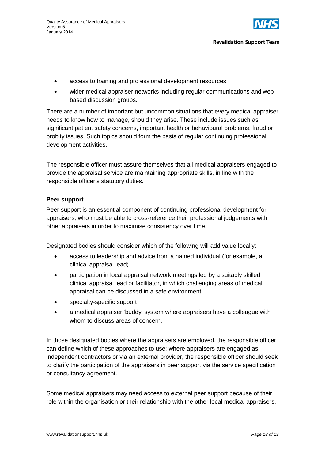

- access to training and professional development resources
- wider medical appraiser networks including regular communications and webbased discussion groups.

There are a number of important but uncommon situations that every medical appraiser needs to know how to manage, should they arise. These include issues such as significant patient safety concerns, important health or behavioural problems, fraud or probity issues. Such topics should form the basis of regular continuing professional development activities.

The responsible officer must assure themselves that all medical appraisers engaged to provide the appraisal service are maintaining appropriate skills, in line with the responsible officer's statutory duties.

#### **Peer support**

Peer support is an essential component of continuing professional development for appraisers, who must be able to cross-reference their professional judgements with other appraisers in order to maximise consistency over time.

Designated bodies should consider which of the following will add value locally:

- access to leadership and advice from a named individual (for example, a clinical appraisal lead)
- participation in local appraisal network meetings led by a suitably skilled clinical appraisal lead or facilitator, in which challenging areas of medical appraisal can be discussed in a safe environment
- specialty-specific support
- a medical appraiser 'buddy' system where appraisers have a colleague with whom to discuss areas of concern.

In those designated bodies where the appraisers are employed, the responsible officer can define which of these approaches to use; where appraisers are engaged as independent contractors or via an external provider, the responsible officer should seek to clarify the participation of the appraisers in peer support via the service specification or consultancy agreement.

Some medical appraisers may need access to external peer support because of their role within the organisation or their relationship with the other local medical appraisers.